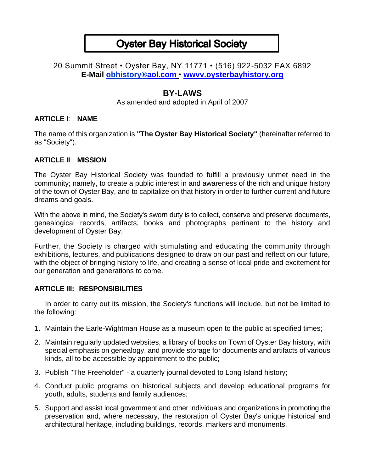# **Oyster Bay Historical Society**

## 20 Summit Street • Oyster Bay, NY 11771 • (516) 922-5032 FAX 6892 **E-Mail obhistory[®aol.com](http://aol.com/)** • **[wwvv.oysterbayhistory.org](http://wwvv.oysterbayllistory.org/)**

# **BY-LAWS**

As amended and adopted in April of 2007

### **ARTICLE I**: **NAME**

The name of this organization is **"The Oyster Bay Historical Society"** (hereinafter referred to as "Society").

#### **ARTICLE II**: **MISSION**

The Oyster Bay Historical Society was founded to fulfill a previously unmet need in the community; namely, to create a public interest in and awareness of the rich and unique history of the town of Oyster Bay, and to capitalize on that history in order to further current and future dreams and goals.

With the above in mind, the Society's sworn duty is to collect, conserve and preserve documents, genealogical records, artifacts, books and photographs pertinent to the history and development of Oyster Bay.

Further, the Society is charged with stimulating and educating the community through exhibitions, lectures, and publications designed to draw on our past and reflect on our future, with the object of bringing history to life, and creating a sense of local pride and excitement for our generation and generations to come.

## **ARTICLE III: RESPONSIBILITIES**

In order to carry out its mission, the Society's functions will include, but not be limited to the following:

- 1. Maintain the Earle-Wightman House as a museum open to the public at specified times;
- 2. Maintain regularly updated websites, a library of books on Town of Oyster Bay history, with special emphasis on genealogy, and provide storage for documents and artifacts of various kinds, all to be accessible by appointment to the public;
- 3. Publish "The Freeholder" a quarterly journal devoted to Long Island history;
- 4. Conduct public programs on historical subjects and develop educational programs for youth, adults, students and family audiences;
- 5. Support and assist local government and other individuals and organizations in promoting the preservation and, where necessary, the restoration of Oyster Bay's unique historical and architectural heritage, including buildings, records, markers and monuments.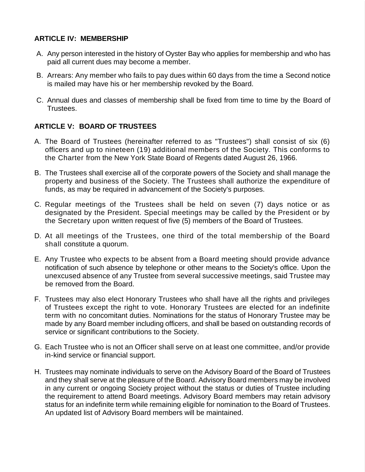#### **ARTICLE IV: MEMBERSHIP**

- A. Any person interested in the history of Oyster Bay who applies for membership and who has paid all current dues may become a member.
- B. Arrears: Any member who fails to pay dues within 60 days from the time a Second notice is mailed may have his or her membership revoked by the Board.
- C. Annual dues and classes of membership shall be fixed from time to time by the Board of Trustees.

## **ARTICLE V: BOARD OF TRUSTEES**

- A. The Board of Trustees (hereinafter referred to as "Trustees") shall consist of six (6) officers and up to nineteen (19) additional members of the Society. This conforms to the Charter from the New York State Board of Regents dated August 26, 1966.
- B. The Trustees shall exercise all of the corporate powers of the Society and shall manage the property and business of the Society. The Trustees shall authorize the expenditure of funds, as may be required in advancement of the Society's purposes.
- C. Regular meetings of the Trustees shall be held on seven (7) days notice or as designated by the President. Special meetings may be called by the President or by the Secretary upon written request of five (5) members of the Board of Trustees.
- D. At all meetings of the Trustees, one third of the total membership of the Board shall constitute a quorum.
- E. Any Trustee who expects to be absent from a Board meeting should provide advance notification of such absence by telephone or other means to the Society's office. Upon the unexcused absence of any Trustee from several successive meetings, said Trustee may be removed from the Board.
- F. Trustees may also elect Honorary Trustees who shall have all the rights and privileges of Trustees except the right to vote. Honorary Trustees are elected for an indefinite term with no concomitant duties. Nominations for the status of Honorary Trustee may be made by any Board member including officers, and shall be based on outstanding records of service or significant contributions to the Society.
- G. Each Trustee who is not an Officer shall serve on at least one committee, and/or provide in-kind service or financial support.
- H. Trustees may nominate individuals to serve on the Advisory Board of the Board of Trustees and they shall serve at the pleasure of the Board. Advisory Board members may be involved in any current or ongoing Society project without the status or duties of Trustee including the requirement to attend Board meetings. Advisory Board members may retain advisory status for an indefinite term while remaining eligible for nomination to the Board of Trustees. An updated list of Advisory Board members will be maintained.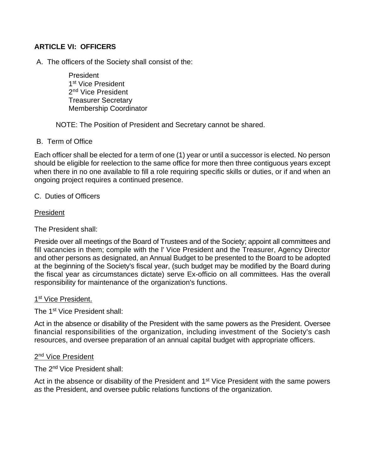### **ARTICLE VI: OFFICERS**

A. The officers of the Society shall consist of the:

President 1<sup>st</sup> Vice President 2<sup>nd</sup> Vice President Treasurer Secretary Membership Coordinator

NOTE: The Position of President and Secretary cannot be shared.

#### B. Term of Office

Each officer shall be elected for a term of one (1) year or until a successor is elected. No person should be eligible for reelection to the same office for more then three contiguous years except when there in no one available to fill a role requiring specific skills or duties, or if and when an ongoing project requires a continued presence.

#### C. Duties of Officers

#### President

The President shall:

Preside over all meetings of the Board of Trustees and of the Society; appoint all committees and fill vacancies in them; compile with the l' Vice President and the Treasurer, Agency Director and other persons as designated, an Annual Budget to be presented to the Board to be adopted at the beginning of the Society's fiscal year, (such budget may be modified by the Board during the fiscal year as circumstances dictate) serve Ex-officio on all committees. Has the overall responsibility for maintenance of the organization's functions.

#### 1<sup>st</sup> Vice President.

The 1st Vice President shall:

Act in the absence or disability of the President with the same powers as the President. Oversee financial responsibilities of the organization, including investment of the Society's cash resources, and oversee preparation of an annual capital budget with appropriate officers.

#### 2<sup>nd</sup> Vice President

The 2<sup>nd</sup> Vice President shall:

Act in the absence or disability of the President and 1<sup>st</sup> Vice President with the same powers *as* the President, and oversee public relations functions of the organization.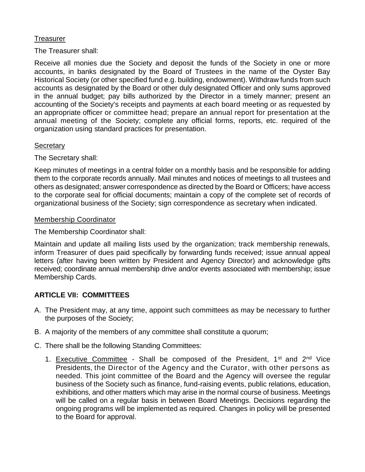#### **Treasurer**

The Treasurer shall:

Receive all monies due the Society and deposit the funds of the Society in one or more accounts, in banks designated by the Board of Trustees in the name of the Oyster Bay Historical Society (or other specified fund e.g. building, endowment). Withdraw funds from such accounts as designated by the Board or other duly designated Officer and only sums approved in the annual budget; pay bills authorized by the Director in a timely manner; present an accounting of the Society's receipts and payments at each board meeting or as requested by an appropriate officer or committee head; prepare an annual report for presentation at the annual meeting of the Society; complete any official forms, reports, etc. required of the organization using standard practices for presentation.

#### **Secretary**

The Secretary shall:

Keep minutes of meetings in a central folder on a monthly basis and be responsible for adding them to the corporate records annually. Mail minutes and notices of meetings to all trustees and others as designated; answer correspondence as directed by the Board or Officers; have access to the corporate seal for official documents; maintain a copy of the complete set of records of organizational business of the Society; sign correspondence as secretary when indicated.

#### Membership Coordinator

The Membership Coordinator shall:

Maintain and update all mailing lists used by the organization; track membership renewals, inform Treasurer of dues paid specifically by forwarding funds received; issue annual appeal letters (after having been written by President and Agency Director) and acknowledge gifts received; coordinate annual membership drive and/or events associated with membership; issue Membership Cards.

## **ARTICLE VII: COMMITTEES**

- A. The President may, at any time, appoint such committees as may be necessary to further the purposes of the Society;
- B. A majority of the members of any committee shall constitute a quorum;
- C. There shall be the following Standing Committees:
	- 1. Executive Committee Shall be composed of the President,  $1^{st}$  and  $2^{nd}$  Vice Presidents, the Director of the Agency and the Curator, with other persons as needed. This joint committee of the Board and the Agency will oversee the regular business of the Society such as finance, fund-raising events, public relations, education, exhibitions, and other matters which may arise in the normal course of business. Meetings will be called on a regular basis in between Board Meetings. Decisions regarding the ongoing programs will be implemented as required. Changes in policy will be presented to the Board for approval.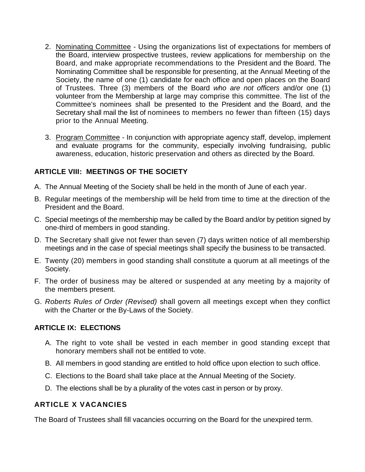- 2. Nominating Committee Using the organizations list of expectations for members of the Board, interview prospective trustees, review applications for membership on the Board, and make appropriate recommendations to the President and the Board. The Nominating Committee shall be responsible for presenting, at the Annual Meeting of the Society, the name of one (1) candidate for each office and open places on the Board of Trustees. Three (3) members of the Board *who are not officers* and/or one (1) volunteer from the Membership at large may comprise this committee. The list of the Committee's nominees shall be presented to the President and the Board, and the Secretary shall mail the list of nominees to members no fewer than fifteen (15) days prior to the Annual Meeting.
- 3. Program Committee In conjunction with appropriate agency staff, develop, implement and evaluate programs for the community, especially involving fundraising, public awareness, education, historic preservation and others as directed by the Board.

## **ARTICLE VIII: MEETINGS OF THE SOCIETY**

- A. The Annual Meeting of the Society shall be held in the month of June of each year.
- B. Regular meetings of the membership will be held from time to time at the direction of the President and the Board.
- C. Special meetings of the membership may be called by the Board and/or by petition signed by one-third of members in good standing.
- D. The Secretary shall give not fewer than seven (7) days written notice of all membership meetings and in the case of special meetings shall specify the business to be transacted.
- E. Twenty (20) members in good standing shall constitute a quorum at all meetings of the Society.
- F. The order of business may be altered or suspended at any meeting by a majority of the members present.
- G. *Roberts Rules of Order (Revised)* shall govern all meetings except when they conflict with the Charter or the By-Laws of the Society.

## **ARTICLE IX: ELECTIONS**

- A. The right to vote shall be vested in each member in good standing except that honorary members shall not be entitled to vote.
- B. All members in good standing are entitled to hold office upon election to such office.
- C. Elections to the Board shall take place at the Annual Meeting of the Society.
- D. The elections shall be by a plurality of the votes cast in person or by proxy.

## **ARTICLE X VACANCIES**

The Board of Trustees shall fill vacancies occurring on the Board for the unexpired term.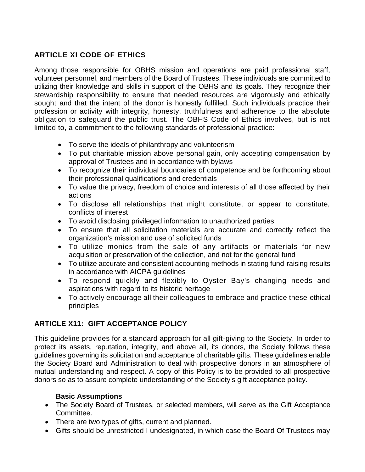# **ARTICLE XI CODE OF ETHICS**

Among those responsible for OBHS mission and operations are paid professional staff, volunteer personnel, and members of the Board of Trustees. These individuals are committed to utilizing their knowledge and skills in support of the OBHS and its goals. They recognize their stewardship responsibility to ensure that needed resources are vigorously and ethically sought and that the intent of the donor is honestly fulfilled. Such individuals practice their profession or activity with integrity, honesty, truthfulness and adherence to the absolute obligation to safeguard the public trust. The OBHS Code of Ethics involves, but is not limited to, a commitment to the following standards of professional practice:

- To serve the ideals of philanthropy and volunteerism
- To put charitable mission above personal gain, only accepting compensation by approval of Trustees and in accordance with bylaws
- To recognize their individual boundaries of competence and be forthcoming about their professional qualifications and credentials
- To value the privacy, freedom of choice and interests of all those affected by their actions
- To disclose all relationships that might constitute, or appear to constitute, conflicts of interest
- To avoid disclosing privileged information to unauthorized parties
- To ensure that all solicitation materials are accurate and correctly reflect the organization's mission and use of solicited funds
- To utilize monies from the sale of any artifacts or materials for new acquisition or preservation of the collection, and not for the general fund
- To utilize accurate and consistent accounting methods in stating fund-raising results in accordance with AICPA guidelines
- To respond quickly and flexibly to Oyster Bay's changing needs and aspirations with regard to its historic heritage
- To actively encourage all their colleagues to embrace and practice these ethical principles

# **ARTICLE X11: GIFT ACCEPTANCE POLICY**

This guideline provides for a standard approach for all gift-giving to the Society. In order to protect its assets, reputation, integrity, and above all, its donors, the Society follows these guidelines governing its solicitation and acceptance of charitable gifts. These guidelines enable the Society Board and Administration to deal with prospective donors in an atmosphere of mutual understanding and respect. A copy of this Policy is to be provided to all prospective donors so as to assure complete understanding of the Society's gift acceptance policy.

## **Basic Assumptions**

- The Society Board of Trustees, or selected members, will serve as the Gift Acceptance Committee.
- There are two types of gifts, current and planned.
- Gifts should be unrestricted I undesignated, in which case the Board Of Trustees may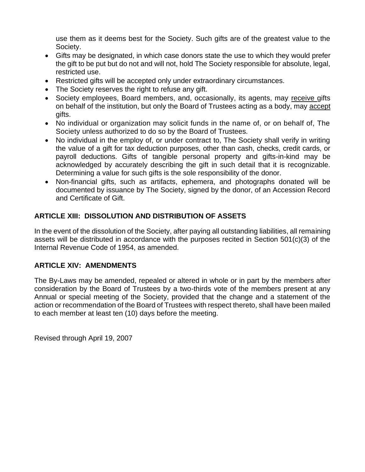use them as it deems best for the Society. Such gifts are of the greatest value to the Society.

- Gifts may be designated, in which case donors state the use to which they would prefer the gift to be put but do not and will not, hold The Society responsible for absolute, legal, restricted use.
- Restricted gifts will be accepted only under extraordinary circumstances.
- The Society reserves the right to refuse any gift.
- Society employees, Board members, and, occasionally, its agents, may receive gifts on behalf of the institution, but only the Board of Trustees acting as a body, may accept gifts.
- No individual or organization may solicit funds in the name of, or on behalf of, The Society unless authorized to do so by the Board of Trustees.
- No individual in the employ of, or under contract to, The Society shall verify in writing the value of a gift for tax deduction purposes, other than cash, checks, credit cards, or payroll deductions. Gifts of tangible personal property and gifts-in-kind may be acknowledged by accurately describing the gift in such detail that it is recognizable. Determining a value for such gifts is the sole responsibility of the donor.
- Non-financial gifts, such as artifacts, ephemera, and photographs donated will be documented by issuance by The Society, signed by the donor, of an Accession Record and Certificate of Gift.

## **ARTICLE XIII: DISSOLUTION AND DISTRIBUTION OF ASSETS**

In the event of the dissolution of the Society, after paying all outstanding liabilities, all remaining assets will be distributed in accordance with the purposes recited in Section 501(c)(3) of the Internal Revenue Code of 1954, as amended.

## **ARTICLE XIV: AMENDMENTS**

The By-Laws may be amended, repealed or altered in whole or in part by the members after consideration by the Board of Trustees by a two-thirds vote of the members present at any Annual or special meeting of the Society, provided that the change and a statement of the action or recommendation of the Board of Trustees with respect thereto, shall have been mailed to each member at least ten (10) days before the meeting.

Revised through April 19, 2007